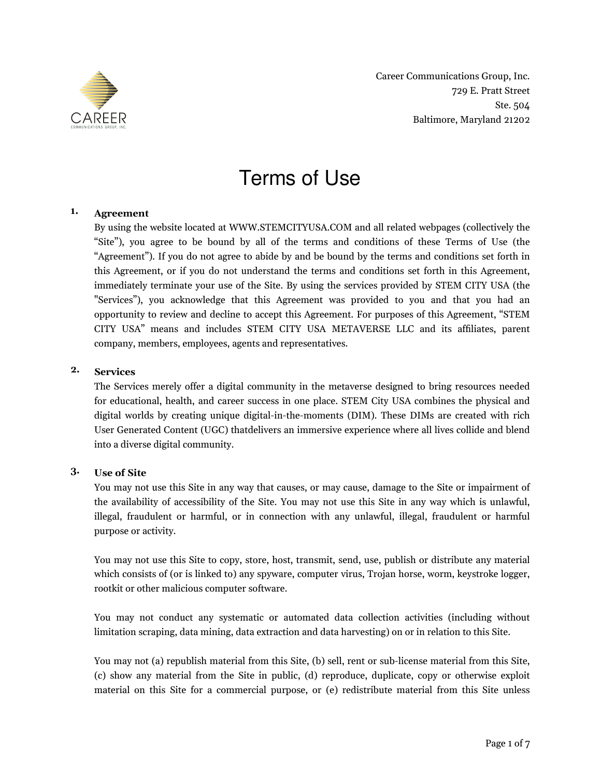

Career Communications Group, Inc. 729 E. Pratt Street Ste. 504 Baltimore, Maryland 21202

# Terms of Use

#### **1. Agreement**

By using the website located at WWW.STEMCITYUSA.COM and all related webpages (collectively the "Site"), you agree to be bound by all of the terms and conditions of these Terms of Use (the "Agreement"). If you do not agree to abide by and be bound by the terms and conditions set forth in this Agreement, or if you do not understand the terms and conditions set forth in this Agreement, immediately terminate your use of the Site. By using the services provided by STEM CITY USA (the "Services"), you acknowledge that this Agreement was provided to you and that you had an opportunity to review and decline to accept this Agreement. For purposes of this Agreement, "STEM CITY USA" means and includes STEM CITY USA METAVERSE LLC and its affliates, parent company, members, employees, agents and representatives.

#### **2. Services**

The Services merely offer a digital community in the metaverse designed to bring resources needed for educational, health, and career success in one place. STEM City USA combines the physical and digital worlds by creating unique digital-in-the-moments (DIM). These DIMs are created with rich User Generated Content (UGC) thatdelivers an immersive experience where all lives collide and blend into a diverse digital community.

#### **3. Use of Site**

You may not use this Site in any way that causes, or may cause, damage to the Site or impairment of the availability of accessibility of the Site. You may not use this Site in any way which is unlawful, illegal, fraudulent or harmful, or in connection with any unlawful, illegal, fraudulent or harmful purpose or activity.

You may not use this Site to copy, store, host, transmit, send, use, publish or distribute any material which consists of (or is linked to) any spyware, computer virus, Trojan horse, worm, keystroke logger, rootkit or other malicious computer software.

You may not conduct any systematic or automated data collection activities (including without limitation scraping, data mining, data extraction and data harvesting) on or in relation to this Site.

You may not (a) republish material from this Site, (b) sell, rent or sub-license material from this Site, (c) show any material from the Site in public, (d) reproduce, duplicate, copy or otherwise exploit material on this Site for a commercial purpose, or (e) redistribute material from this Site unless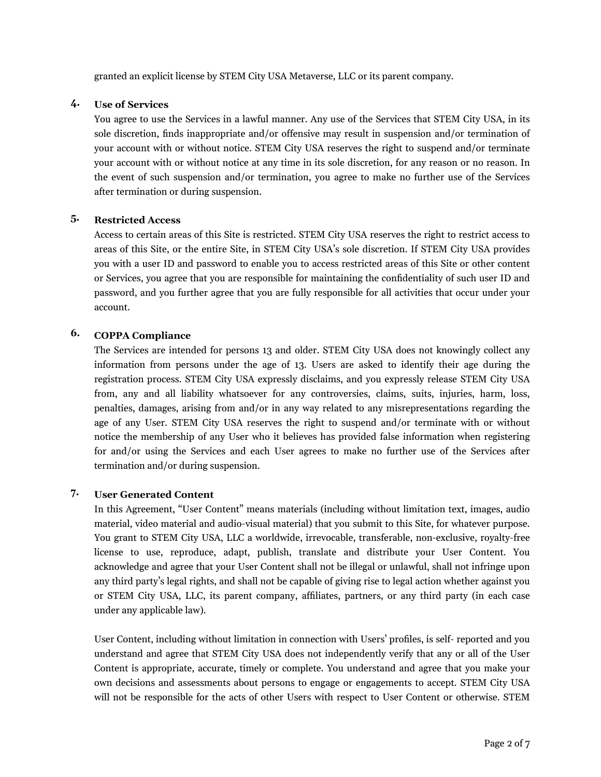granted an explicit license by STEM City USA Metaverse, LLC or its parent company.

#### **4. Use of Services**

You agree to use the Services in a lawful manner. Any use of the Services that STEM City USA, in its sole discretion, fnds inappropriate and/or offensive may result in suspension and/or termination of your account with or without notice. STEM City USA reserves the right to suspend and/or terminate your account with or without notice at any time in its sole discretion, for any reason or no reason. In the event of such suspension and/or termination, you agree to make no further use of the Services after termination or during suspension.

#### **5. Restricted Access**

Access to certain areas of this Site is restricted. STEM City USA reserves the right to restrict access to areas of this Site, or the entire Site, in STEM City USA's sole discretion. If STEM City USA provides you with a user ID and password to enable you to access restricted areas of this Site or other content or Services, you agree that you are responsible for maintaining the confdentiality of such user ID and password, and you further agree that you are fully responsible for all activities that occur under your account.

# **6. COPPA Compliance**

The Services are intended for persons 13 and older. STEM City USA does not knowingly collect any information from persons under the age of 13. Users are asked to identify their age during the registration process. STEM City USA expressly disclaims, and you expressly release STEM City USA from, any and all liability whatsoever for any controversies, claims, suits, injuries, harm, loss, penalties, damages, arising from and/or in any way related to any misrepresentations regarding the age of any User. STEM City USA reserves the right to suspend and/or terminate with or without notice the membership of any User who it believes has provided false information when registering for and/or using the Services and each User agrees to make no further use of the Services after termination and/or during suspension.

# **7. User Generated Content**

In this Agreement, "User Content" means materials (including without limitation text, images, audio material, video material and audio-visual material) that you submit to this Site, for whatever purpose. You grant to STEM City USA, LLC a worldwide, irrevocable, transferable, non-exclusive, royalty-free license to use, reproduce, adapt, publish, translate and distribute your User Content. You acknowledge and agree that your User Content shall not be illegal or unlawful, shall not infringe upon any third party's legal rights, and shall not be capable of giving rise to legal action whether against you or STEM City USA, LLC, its parent company, affliates, partners, or any third party (in each case under any applicable law).

User Content, including without limitation in connection with Users' profles, is self- reported and you understand and agree that STEM City USA does not independently verify that any or all of the User Content is appropriate, accurate, timely or complete. You understand and agree that you make your own decisions and assessments about persons to engage or engagements to accept. STEM City USA will not be responsible for the acts of other Users with respect to User Content or otherwise. STEM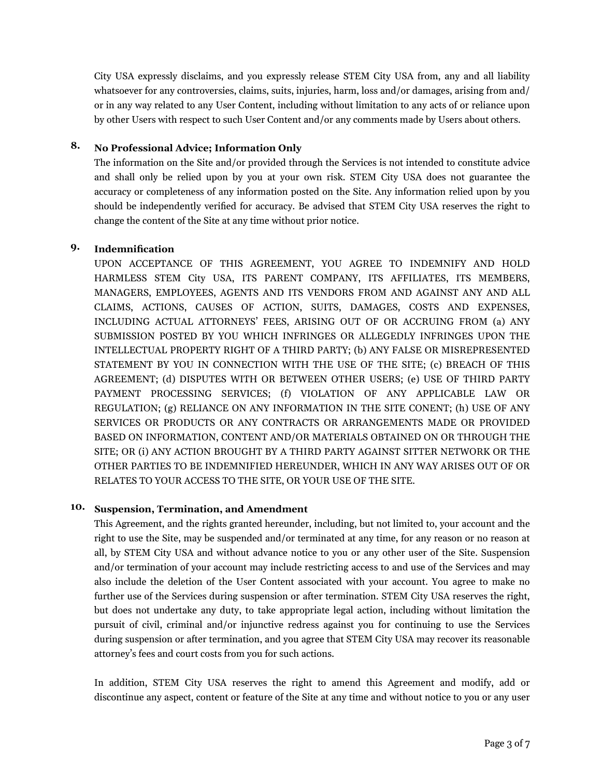City USA expressly disclaims, and you expressly release STEM City USA from, any and all liability whatsoever for any controversies, claims, suits, injuries, harm, loss and/or damages, arising from and/ or in any way related to any User Content, including without limitation to any acts of or reliance upon by other Users with respect to such User Content and/or any comments made by Users about others.

## **8. No Professional Advice; Information Only**

The information on the Site and/or provided through the Services is not intended to constitute advice and shall only be relied upon by you at your own risk. STEM City USA does not guarantee the accuracy or completeness of any information posted on the Site. Any information relied upon by you should be independently verifed for accuracy. Be advised that STEM City USA reserves the right to change the content of the Site at any time without prior notice.

## **9. Indemnifcation**

UPON ACCEPTANCE OF THIS AGREEMENT, YOU AGREE TO INDEMNIFY AND HOLD HARMLESS STEM City USA, ITS PARENT COMPANY, ITS AFFILIATES, ITS MEMBERS, MANAGERS, EMPLOYEES, AGENTS AND ITS VENDORS FROM AND AGAINST ANY AND ALL CLAIMS, ACTIONS, CAUSES OF ACTION, SUITS, DAMAGES, COSTS AND EXPENSES, INCLUDING ACTUAL ATTORNEYS' FEES, ARISING OUT OF OR ACCRUING FROM (a) ANY SUBMISSION POSTED BY YOU WHICH INFRINGES OR ALLEGEDLY INFRINGES UPON THE INTELLECTUAL PROPERTY RIGHT OF A THIRD PARTY; (b) ANY FALSE OR MISREPRESENTED STATEMENT BY YOU IN CONNECTION WITH THE USE OF THE SITE; (c) BREACH OF THIS AGREEMENT; (d) DISPUTES WITH OR BETWEEN OTHER USERS; (e) USE OF THIRD PARTY PAYMENT PROCESSING SERVICES; (f) VIOLATION OF ANY APPLICABLE LAW OR REGULATION; (g) RELIANCE ON ANY INFORMATION IN THE SITE CONENT; (h) USE OF ANY SERVICES OR PRODUCTS OR ANY CONTRACTS OR ARRANGEMENTS MADE OR PROVIDED BASED ON INFORMATION, CONTENT AND/OR MATERIALS OBTAINED ON OR THROUGH THE SITE; OR (i) ANY ACTION BROUGHT BY A THIRD PARTY AGAINST SITTER NETWORK OR THE OTHER PARTIES TO BE INDEMNIFIED HEREUNDER, WHICH IN ANY WAY ARISES OUT OF OR RELATES TO YOUR ACCESS TO THE SITE, OR YOUR USE OF THE SITE.

## **10. Suspension, Termination, and Amendment**

This Agreement, and the rights granted hereunder, including, but not limited to, your account and the right to use the Site, may be suspended and/or terminated at any time, for any reason or no reason at all, by STEM City USA and without advance notice to you or any other user of the Site. Suspension and/or termination of your account may include restricting access to and use of the Services and may also include the deletion of the User Content associated with your account. You agree to make no further use of the Services during suspension or after termination. STEM City USA reserves the right, but does not undertake any duty, to take appropriate legal action, including without limitation the pursuit of civil, criminal and/or injunctive redress against you for continuing to use the Services during suspension or after termination, and you agree that STEM City USA may recover its reasonable attorney's fees and court costs from you for such actions.

In addition, STEM City USA reserves the right to amend this Agreement and modify, add or discontinue any aspect, content or feature of the Site at any time and without notice to you or any user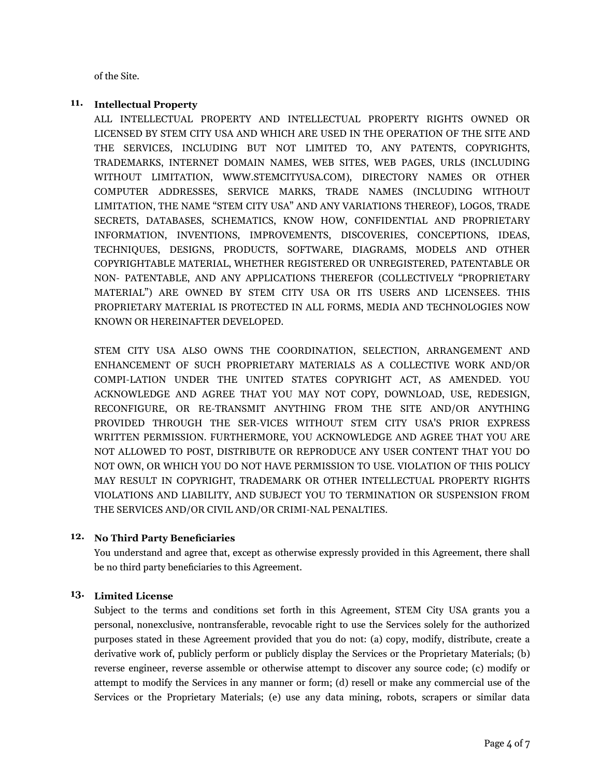of the Site.

#### **11. Intellectual Property**

ALL INTELLECTUAL PROPERTY AND INTELLECTUAL PROPERTY RIGHTS OWNED OR LICENSED BY STEM CITY USA AND WHICH ARE USED IN THE OPERATION OF THE SITE AND THE SERVICES, INCLUDING BUT NOT LIMITED TO, ANY PATENTS, COPYRIGHTS, TRADEMARKS, INTERNET DOMAIN NAMES, WEB SITES, WEB PAGES, URLS (INCLUDING WITHOUT LIMITATION, WWW.STEMCITYUSA.COM), DIRECTORY NAMES OR OTHER COMPUTER ADDRESSES, SERVICE MARKS, TRADE NAMES (INCLUDING WITHOUT LIMITATION, THE NAME "STEM CITY USA" AND ANY VARIATIONS THEREOF), LOGOS, TRADE SECRETS, DATABASES, SCHEMATICS, KNOW HOW, CONFIDENTIAL AND PROPRIETARY INFORMATION, INVENTIONS, IMPROVEMENTS, DISCOVERIES, CONCEPTIONS, IDEAS, TECHNIQUES, DESIGNS, PRODUCTS, SOFTWARE, DIAGRAMS, MODELS AND OTHER COPYRIGHTABLE MATERIAL, WHETHER REGISTERED OR UNREGISTERED, PATENTABLE OR NON- PATENTABLE, AND ANY APPLICATIONS THEREFOR (COLLECTIVELY "PROPRIETARY MATERIAL") ARE OWNED BY STEM CITY USA OR ITS USERS AND LICENSEES. THIS PROPRIETARY MATERIAL IS PROTECTED IN ALL FORMS, MEDIA AND TECHNOLOGIES NOW KNOWN OR HEREINAFTER DEVELOPED.

STEM CITY USA ALSO OWNS THE COORDINATION, SELECTION, ARRANGEMENT AND ENHANCEMENT OF SUCH PROPRIETARY MATERIALS AS A COLLECTIVE WORK AND/OR COMPI-LATION UNDER THE UNITED STATES COPYRIGHT ACT, AS AMENDED. YOU ACKNOWLEDGE AND AGREE THAT YOU MAY NOT COPY, DOWNLOAD, USE, REDESIGN, RECONFIGURE, OR RE-TRANSMIT ANYTHING FROM THE SITE AND/OR ANYTHING PROVIDED THROUGH THE SER-VICES WITHOUT STEM CITY USA'S PRIOR EXPRESS WRITTEN PERMISSION. FURTHERMORE, YOU ACKNOWLEDGE AND AGREE THAT YOU ARE NOT ALLOWED TO POST, DISTRIBUTE OR REPRODUCE ANY USER CONTENT THAT YOU DO NOT OWN, OR WHICH YOU DO NOT HAVE PERMISSION TO USE. VIOLATION OF THIS POLICY MAY RESULT IN COPYRIGHT, TRADEMARK OR OTHER INTELLECTUAL PROPERTY RIGHTS VIOLATIONS AND LIABILITY, AND SUBJECT YOU TO TERMINATION OR SUSPENSION FROM THE SERVICES AND/OR CIVIL AND/OR CRIMI-NAL PENALTIES.

#### **12. No Third Party Benefciaries**

You understand and agree that, except as otherwise expressly provided in this Agreement, there shall be no third party benefciaries to this Agreement.

#### **13. Limited License**

Subject to the terms and conditions set forth in this Agreement, STEM City USA grants you a personal, nonexclusive, nontransferable, revocable right to use the Services solely for the authorized purposes stated in these Agreement provided that you do not: (a) copy, modify, distribute, create a derivative work of, publicly perform or publicly display the Services or the Proprietary Materials; (b) reverse engineer, reverse assemble or otherwise attempt to discover any source code; (c) modify or attempt to modify the Services in any manner or form; (d) resell or make any commercial use of the Services or the Proprietary Materials; (e) use any data mining, robots, scrapers or similar data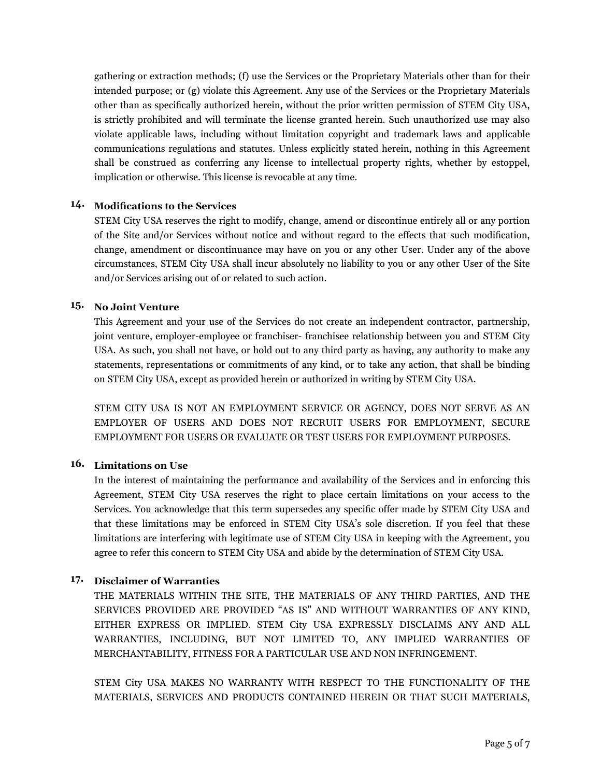gathering or extraction methods; (f) use the Services or the Proprietary Materials other than for their intended purpose; or (g) violate this Agreement. Any use of the Services or the Proprietary Materials other than as specifcally authorized herein, without the prior written permission of STEM City USA, is strictly prohibited and will terminate the license granted herein. Such unauthorized use may also violate applicable laws, including without limitation copyright and trademark laws and applicable communications regulations and statutes. Unless explicitly stated herein, nothing in this Agreement shall be construed as conferring any license to intellectual property rights, whether by estoppel, implication or otherwise. This license is revocable at any time.

## **14. Modifcations to the Services**

STEM City USA reserves the right to modify, change, amend or discontinue entirely all or any portion of the Site and/or Services without notice and without regard to the effects that such modifcation, change, amendment or discontinuance may have on you or any other User. Under any of the above circumstances, STEM City USA shall incur absolutely no liability to you or any other User of the Site and/or Services arising out of or related to such action.

#### **15. No Joint Venture**

This Agreement and your use of the Services do not create an independent contractor, partnership, joint venture, employer-employee or franchiser- franchisee relationship between you and STEM City USA. As such, you shall not have, or hold out to any third party as having, any authority to make any statements, representations or commitments of any kind, or to take any action, that shall be binding on STEM City USA, except as provided herein or authorized in writing by STEM City USA.

STEM CITY USA IS NOT AN EMPLOYMENT SERVICE OR AGENCY, DOES NOT SERVE AS AN EMPLOYER OF USERS AND DOES NOT RECRUIT USERS FOR EMPLOYMENT, SECURE EMPLOYMENT FOR USERS OR EVALUATE OR TEST USERS FOR EMPLOYMENT PURPOSES.

# **16. Limitations on Use**

In the interest of maintaining the performance and availability of the Services and in enforcing this Agreement, STEM City USA reserves the right to place certain limitations on your access to the Services. You acknowledge that this term supersedes any specifc offer made by STEM City USA and that these limitations may be enforced in STEM City USA's sole discretion. If you feel that these limitations are interfering with legitimate use of STEM City USA in keeping with the Agreement, you agree to refer this concern to STEM City USA and abide by the determination of STEM City USA.

#### **17. Disclaimer of Warranties**

THE MATERIALS WITHIN THE SITE, THE MATERIALS OF ANY THIRD PARTIES, AND THE SERVICES PROVIDED ARE PROVIDED "AS IS" AND WITHOUT WARRANTIES OF ANY KIND, EITHER EXPRESS OR IMPLIED. STEM City USA EXPRESSLY DISCLAIMS ANY AND ALL WARRANTIES, INCLUDING, BUT NOT LIMITED TO, ANY IMPLIED WARRANTIES OF MERCHANTABILITY, FITNESS FOR A PARTICULAR USE AND NON INFRINGEMENT.

STEM City USA MAKES NO WARRANTY WITH RESPECT TO THE FUNCTIONALITY OF THE MATERIALS, SERVICES AND PRODUCTS CONTAINED HEREIN OR THAT SUCH MATERIALS,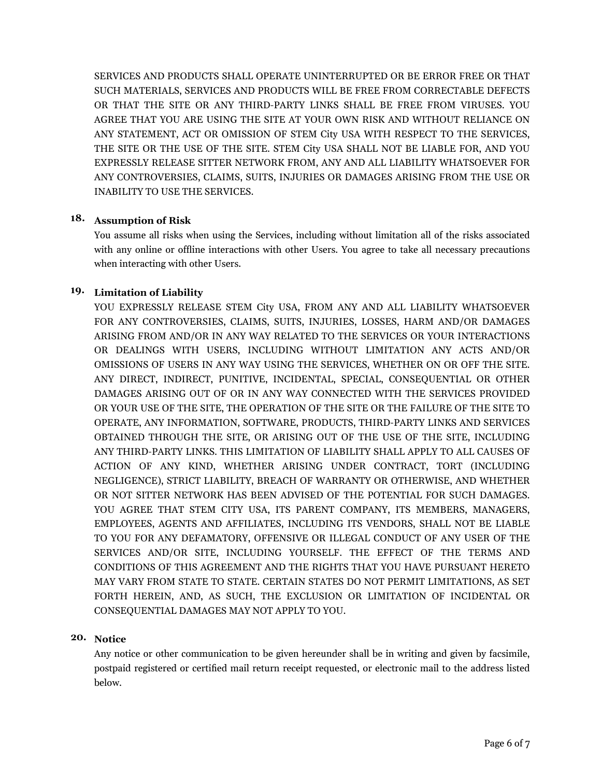SERVICES AND PRODUCTS SHALL OPERATE UNINTERRUPTED OR BE ERROR FREE OR THAT SUCH MATERIALS, SERVICES AND PRODUCTS WILL BE FREE FROM CORRECTABLE DEFECTS OR THAT THE SITE OR ANY THIRD-PARTY LINKS SHALL BE FREE FROM VIRUSES. YOU AGREE THAT YOU ARE USING THE SITE AT YOUR OWN RISK AND WITHOUT RELIANCE ON ANY STATEMENT, ACT OR OMISSION OF STEM City USA WITH RESPECT TO THE SERVICES, THE SITE OR THE USE OF THE SITE. STEM City USA SHALL NOT BE LIABLE FOR, AND YOU EXPRESSLY RELEASE SITTER NETWORK FROM, ANY AND ALL LIABILITY WHATSOEVER FOR ANY CONTROVERSIES, CLAIMS, SUITS, INJURIES OR DAMAGES ARISING FROM THE USE OR INABILITY TO USE THE SERVICES.

## **18. Assumption of Risk**

You assume all risks when using the Services, including without limitation all of the risks associated with any online or offline interactions with other Users. You agree to take all necessary precautions when interacting with other Users.

#### **19. Limitation of Liability**

YOU EXPRESSLY RELEASE STEM City USA, FROM ANY AND ALL LIABILITY WHATSOEVER FOR ANY CONTROVERSIES, CLAIMS, SUITS, INJURIES, LOSSES, HARM AND/OR DAMAGES ARISING FROM AND/OR IN ANY WAY RELATED TO THE SERVICES OR YOUR INTERACTIONS OR DEALINGS WITH USERS, INCLUDING WITHOUT LIMITATION ANY ACTS AND/OR OMISSIONS OF USERS IN ANY WAY USING THE SERVICES, WHETHER ON OR OFF THE SITE. ANY DIRECT, INDIRECT, PUNITIVE, INCIDENTAL, SPECIAL, CONSEQUENTIAL OR OTHER DAMAGES ARISING OUT OF OR IN ANY WAY CONNECTED WITH THE SERVICES PROVIDED OR YOUR USE OF THE SITE, THE OPERATION OF THE SITE OR THE FAILURE OF THE SITE TO OPERATE, ANY INFORMATION, SOFTWARE, PRODUCTS, THIRD-PARTY LINKS AND SERVICES OBTAINED THROUGH THE SITE, OR ARISING OUT OF THE USE OF THE SITE, INCLUDING ANY THIRD-PARTY LINKS. THIS LIMITATION OF LIABILITY SHALL APPLY TO ALL CAUSES OF ACTION OF ANY KIND, WHETHER ARISING UNDER CONTRACT, TORT (INCLUDING NEGLIGENCE), STRICT LIABILITY, BREACH OF WARRANTY OR OTHERWISE, AND WHETHER OR NOT SITTER NETWORK HAS BEEN ADVISED OF THE POTENTIAL FOR SUCH DAMAGES. YOU AGREE THAT STEM CITY USA, ITS PARENT COMPANY, ITS MEMBERS, MANAGERS, EMPLOYEES, AGENTS AND AFFILIATES, INCLUDING ITS VENDORS, SHALL NOT BE LIABLE TO YOU FOR ANY DEFAMATORY, OFFENSIVE OR ILLEGAL CONDUCT OF ANY USER OF THE SERVICES AND/OR SITE, INCLUDING YOURSELF. THE EFFECT OF THE TERMS AND CONDITIONS OF THIS AGREEMENT AND THE RIGHTS THAT YOU HAVE PURSUANT HERETO MAY VARY FROM STATE TO STATE. CERTAIN STATES DO NOT PERMIT LIMITATIONS, AS SET FORTH HEREIN, AND, AS SUCH, THE EXCLUSION OR LIMITATION OF INCIDENTAL OR CONSEQUENTIAL DAMAGES MAY NOT APPLY TO YOU.

# **20. Notice**

Any notice or other communication to be given hereunder shall be in writing and given by facsimile, postpaid registered or certifed mail return receipt requested, or electronic mail to the address listed below.